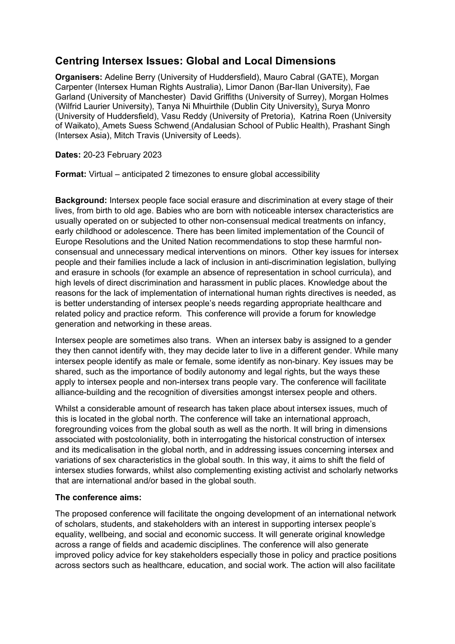# **Centring Intersex Issues: Global and Local Dimensions**

**Organisers:** Adeline Berry (University of Huddersfield), Mauro Cabral (GATE), Morgan Carpenter (Intersex Human Rights Australia), Limor Danon (Bar-Ilan University), Fae Garland (University of Manchester) David Griffiths (University of Surrey), Morgan Holmes (Wilfrid Laurier University), Tanya Ni Mhuirthile (Dublin City University), Surya Monro (University of Huddersfield), Vasu Reddy (University of Pretoria), Katrina Roen (University of Waikato), Amets Suess Schwend (Andalusian School of Public Health), Prashant Singh (Intersex Asia), Mitch Travis (University of Leeds).

**Dates:** 20-23 February 2023

**Format:** Virtual – anticipated 2 timezones to ensure global accessibility

**Background:** Intersex people face social erasure and discrimination at every stage of their lives, from birth to old age. Babies who are born with noticeable intersex characteristics are usually operated on or subjected to other non-consensual medical treatments on infancy, early childhood or adolescence. There has been limited implementation of the Council of Europe Resolutions and the United Nation recommendations to stop these harmful nonconsensual and unnecessary medical interventions on minors. Other key issues for intersex people and their families include a lack of inclusion in anti-discrimination legislation, bullying and erasure in schools (for example an absence of representation in school curricula), and high levels of direct discrimination and harassment in public places. Knowledge about the reasons for the lack of implementation of international human rights directives is needed, as is better understanding of intersex people's needs regarding appropriate healthcare and related policy and practice reform. This conference will provide a forum for knowledge generation and networking in these areas.

Intersex people are sometimes also trans. When an intersex baby is assigned to a gender they then cannot identify with, they may decide later to live in a different gender. While many intersex people identify as male or female, some identify as non-binary. Key issues may be shared, such as the importance of bodily autonomy and legal rights, but the ways these apply to intersex people and non-intersex trans people vary. The conference will facilitate alliance-building and the recognition of diversities amongst intersex people and others.

Whilst a considerable amount of research has taken place about intersex issues, much of this is located in the global north. The conference will take an international approach, foregrounding voices from the global south as well as the north. It will bring in dimensions associated with postcoloniality, both in interrogating the historical construction of intersex and its medicalisation in the global north, and in addressing issues concerning intersex and variations of sex characteristics in the global south. In this way, it aims to shift the field of intersex studies forwards, whilst also complementing existing activist and scholarly networks that are international and/or based in the global south.

# **The conference aims:**

The proposed conference will facilitate the ongoing development of an international network of scholars, students, and stakeholders with an interest in supporting intersex people's equality, wellbeing, and social and economic success. It will generate original knowledge across a range of fields and academic disciplines. The conference will also generate improved policy advice for key stakeholders especially those in policy and practice positions across sectors such as healthcare, education, and social work. The action will also facilitate